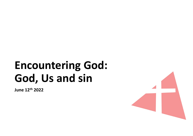# **Encountering God:<br>God, Us and sin** Encountering God:<br>God, Us and sin

June 12th 2022

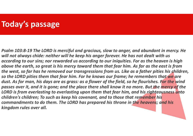### Today's passage

Psalm 103:8-19 The LORD is merciful and gracious, slow to anger, and abundant in mercy. He will not always chide: neither will he keep his anger forever. He has not dealt with us according to our sins; nor rewarded us according to our iniquities. For as the heaven is high above the earth, so great is his mercy toward them that fear him. As far as the east is from the west, so far has he removed our transgressions from us. Like as a father pities his children, so the LORD pities them that fear him. For he knows our frame; he remembers that we are dust. As for man, his days are as grass: as a flower of the field, so he flourishes. For the wind passes over it, and it is gone; and the place there shall know it no more. But the mercy of the LORD is from everlasting to everlasting upon them that fear him, and his righteousness unto children's children; To such as keep his covenant, and to those that remember his commandments to do them. The LORD has prepared his throne in the heavens; and his kingdom rules over all.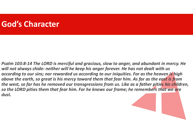### God's Character

Psalm 103:8-14 The LORD is merciful and gracious, slow to anger, and abundant in mercy. He will not always chide: neither will he keep his anger forever. He has not dealt with us according to our sins; nor rewarded us according to our iniquities. For as the heaven is high above the earth, so great is his mercy toward them that fear him. As far as the east is from the west, so far has he removed our transgressions from us. Like as a father pities his children, so the LORD pities them that fear him. For he knows our frame; he remembers that we are dust.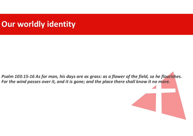## Our worldly identity

Psalm 103:15-16 As for man, his days are as grass: as a flower of the field, so he flourishes. For the wind passes over it, and it is gone; and the place there shall know it no more.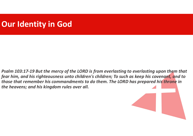### Our Identity in God

Psalm 103:17-19 But the mercy of the LORD is from everlasting to everlasting upon them that fear him, and his righteousness unto children's children; To such as keep his covenant, and to those that remember his commandments to do them. The LORD has prepared his throne in the heavens; and his kingdom rules over all.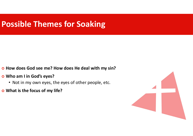# Possible Themes for Soaking **POSSible Themes for Soaking**<br>
• How does God see me? How does He deal with my sin?<br>
• Who am I in God's eyes?<br>
• Not in my own eyes, the eyes of other people, etc.<br>
• What is the focus of my life?

- o How does God see me? How does He deal with my sin?
- - Not in my own eyes, the eyes of other people, etc.
- What is the focus of my life?